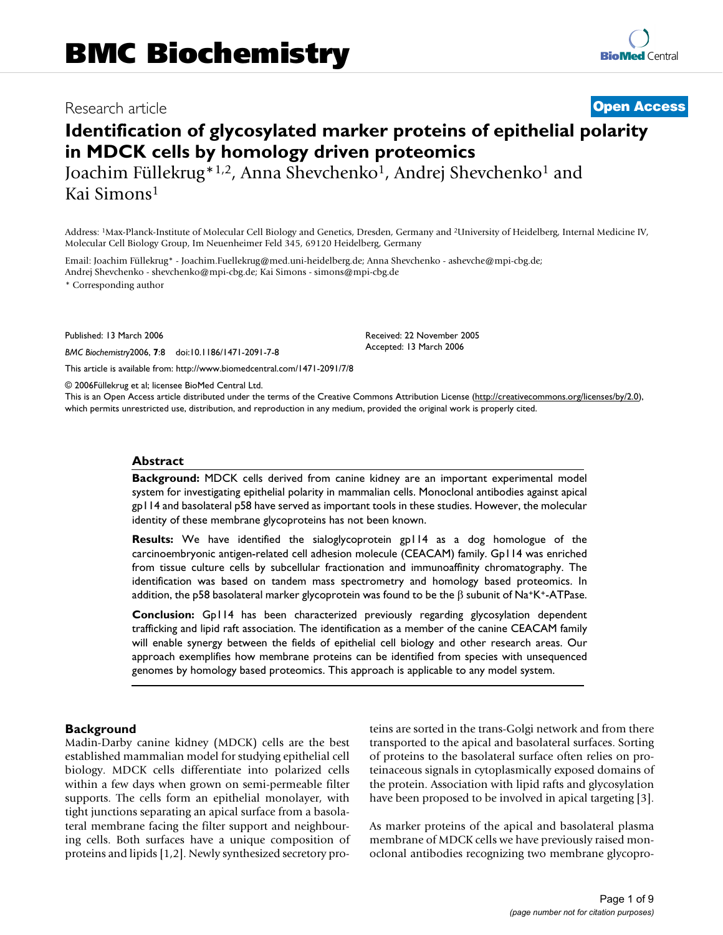## Research article **[Open Access](http://www.biomedcentral.com/info/about/charter/)**

# **Identification of glycosylated marker proteins of epithelial polarity in MDCK cells by homology driven proteomics**

Joachim Füllekrug\*1,2, Anna Shevchenko1, Andrej Shevchenko1 and Kai Simons1

Address: 1Max-Planck-Institute of Molecular Cell Biology and Genetics, Dresden, Germany and 2University of Heidelberg, Internal Medicine IV, Molecular Cell Biology Group, Im Neuenheimer Feld 345, 69120 Heidelberg, Germany

Email: Joachim Füllekrug\* - Joachim.Fuellekrug@med.uni-heidelberg.de; Anna Shevchenko - ashevche@mpi-cbg.de; Andrej Shevchenko - shevchenko@mpi-cbg.de; Kai Simons - simons@mpi-cbg.de

\* Corresponding author

Published: 13 March 2006

*BMC Biochemistry*2006, **7**:8 doi:10.1186/1471-2091-7-8

[This article is available from: http://www.biomedcentral.com/1471-2091/7/8](http://www.biomedcentral.com/1471-2091/7/8)

© 2006Füllekrug et al; licensee BioMed Central Ltd.

This is an Open Access article distributed under the terms of the Creative Commons Attribution License [\(http://creativecommons.org/licenses/by/2.0\)](http://creativecommons.org/licenses/by/2.0), which permits unrestricted use, distribution, and reproduction in any medium, provided the original work is properly cited.

Received: 22 November 2005 Accepted: 13 March 2006

#### **Abstract**

**Background:** MDCK cells derived from canine kidney are an important experimental model system for investigating epithelial polarity in mammalian cells. Monoclonal antibodies against apical gp114 and basolateral p58 have served as important tools in these studies. However, the molecular identity of these membrane glycoproteins has not been known.

**Results:** We have identified the sialoglycoprotein gp114 as a dog homologue of the carcinoembryonic antigen-related cell adhesion molecule (CEACAM) family. Gp114 was enriched from tissue culture cells by subcellular fractionation and immunoaffinity chromatography. The identification was based on tandem mass spectrometry and homology based proteomics. In addition, the p58 basolateral marker glycoprotein was found to be the β subunit of Na<sup>+</sup>K<sup>+</sup>-ATPase.

**Conclusion:** Gp114 has been characterized previously regarding glycosylation dependent trafficking and lipid raft association. The identification as a member of the canine CEACAM family will enable synergy between the fields of epithelial cell biology and other research areas. Our approach exemplifies how membrane proteins can be identified from species with unsequenced genomes by homology based proteomics. This approach is applicable to any model system.

#### **Background**

Madin-Darby canine kidney (MDCK) cells are the best established mammalian model for studying epithelial cell biology. MDCK cells differentiate into polarized cells within a few days when grown on semi-permeable filter supports. The cells form an epithelial monolayer, with tight junctions separating an apical surface from a basolateral membrane facing the filter support and neighbouring cells. Both surfaces have a unique composition of proteins and lipids [1,2]. Newly synthesized secretory proteins are sorted in the trans-Golgi network and from there transported to the apical and basolateral surfaces. Sorting of proteins to the basolateral surface often relies on proteinaceous signals in cytoplasmically exposed domains of the protein. Association with lipid rafts and glycosylation have been proposed to be involved in apical targeting [3].

As marker proteins of the apical and basolateral plasma membrane of MDCK cells we have previously raised monoclonal antibodies recognizing two membrane glycopro-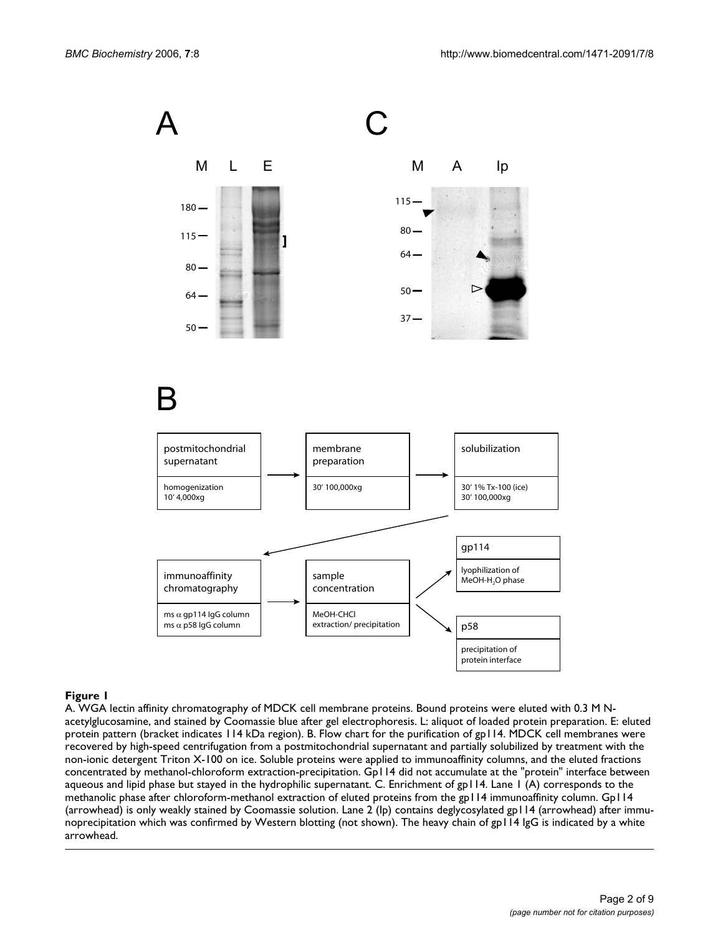

## Figure 1

A. WGA lectin affinity chromatography of MDCK cell membrane proteins. Bound proteins were eluted with 0.3 M Nacetylglucosamine, and stained by Coomassie blue after gel electrophoresis. L: aliquot of loaded protein preparation. E: eluted protein pattern (bracket indicates 114 kDa region). B. Flow chart for the purification of gp114. MDCK cell membranes were recovered by high-speed centrifugation from a postmitochondrial supernatant and partially solubilized by treatment with the non-ionic detergent Triton X-100 on ice. Soluble proteins were applied to immunoaffinity columns, and the eluted fractions concentrated by methanol-chloroform extraction-precipitation. Gp114 did not accumulate at the "protein" interface between aqueous and lipid phase but stayed in the hydrophilic supernatant. C. Enrichment of gp114. Lane 1 (A) corresponds to the methanolic phase after chloroform-methanol extraction of eluted proteins from the gp114 immunoaffinity column. Gp114 (arrowhead) is only weakly stained by Coomassie solution. Lane 2 (Ip) contains deglycosylated gp114 (arrowhead) after immunoprecipitation which was confirmed by Western blotting (not shown). The heavy chain of gp114 IgG is indicated by a white arrowhead.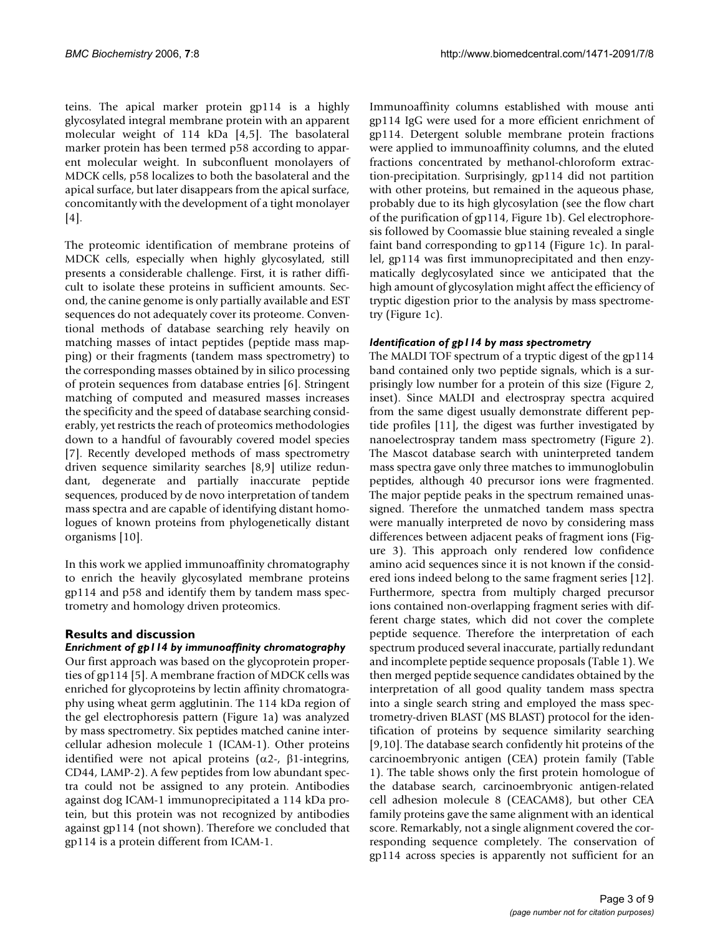teins. The apical marker protein gp114 is a highly glycosylated integral membrane protein with an apparent molecular weight of 114 kDa [4,5]. The basolateral marker protein has been termed p58 according to apparent molecular weight. In subconfluent monolayers of MDCK cells, p58 localizes to both the basolateral and the apical surface, but later disappears from the apical surface, concomitantly with the development of a tight monolayer  $[4]$ .

The proteomic identification of membrane proteins of MDCK cells, especially when highly glycosylated, still presents a considerable challenge. First, it is rather difficult to isolate these proteins in sufficient amounts. Second, the canine genome is only partially available and EST sequences do not adequately cover its proteome. Conventional methods of database searching rely heavily on matching masses of intact peptides (peptide mass mapping) or their fragments (tandem mass spectrometry) to the corresponding masses obtained by in silico processing of protein sequences from database entries [6]. Stringent matching of computed and measured masses increases the specificity and the speed of database searching considerably, yet restricts the reach of proteomics methodologies down to a handful of favourably covered model species [7]. Recently developed methods of mass spectrometry driven sequence similarity searches [8,9] utilize redundant, degenerate and partially inaccurate peptide sequences, produced by de novo interpretation of tandem mass spectra and are capable of identifying distant homologues of known proteins from phylogenetically distant organisms [10].

In this work we applied immunoaffinity chromatography to enrich the heavily glycosylated membrane proteins gp114 and p58 and identify them by tandem mass spectrometry and homology driven proteomics.

## **Results and discussion**

## *Enrichment of gp114 by immunoaffinity chromatography*

Our first approach was based on the glycoprotein properties of gp114 [5]. A membrane fraction of MDCK cells was enriched for glycoproteins by lectin affinity chromatography using wheat germ agglutinin. The 114 kDa region of the gel electrophoresis pattern (Figure 1a) was analyzed by mass spectrometry. Six peptides matched canine intercellular adhesion molecule 1 (ICAM-1). Other proteins identified were not apical proteins ( $α2$ -,  $β1$ -integrins, CD44, LAMP-2). A few peptides from low abundant spectra could not be assigned to any protein. Antibodies against dog ICAM-1 immunoprecipitated a 114 kDa protein, but this protein was not recognized by antibodies against gp114 (not shown). Therefore we concluded that gp114 is a protein different from ICAM-1.

Immunoaffinity columns established with mouse anti gp114 IgG were used for a more efficient enrichment of gp114. Detergent soluble membrane protein fractions were applied to immunoaffinity columns, and the eluted fractions concentrated by methanol-chloroform extraction-precipitation. Surprisingly, gp114 did not partition with other proteins, but remained in the aqueous phase, probably due to its high glycosylation (see the flow chart of the purification of gp114, Figure 1b). Gel electrophoresis followed by Coomassie blue staining revealed a single faint band corresponding to gp114 (Figure 1c). In parallel, gp114 was first immunoprecipitated and then enzymatically deglycosylated since we anticipated that the high amount of glycosylation might affect the efficiency of tryptic digestion prior to the analysis by mass spectrometry (Figure 1c).

## *Identification of gp114 by mass spectrometry*

The MALDI TOF spectrum of a tryptic digest of the gp114 band contained only two peptide signals, which is a surprisingly low number for a protein of this size (Figure 2, inset). Since MALDI and electrospray spectra acquired from the same digest usually demonstrate different peptide profiles [11], the digest was further investigated by nanoelectrospray tandem mass spectrometry (Figure 2). The Mascot database search with uninterpreted tandem mass spectra gave only three matches to immunoglobulin peptides, although 40 precursor ions were fragmented. The major peptide peaks in the spectrum remained unassigned. Therefore the unmatched tandem mass spectra were manually interpreted de novo by considering mass differences between adjacent peaks of fragment ions (Figure 3). This approach only rendered low confidence amino acid sequences since it is not known if the considered ions indeed belong to the same fragment series [12]. Furthermore, spectra from multiply charged precursor ions contained non-overlapping fragment series with different charge states, which did not cover the complete peptide sequence. Therefore the interpretation of each spectrum produced several inaccurate, partially redundant and incomplete peptide sequence proposals (Table 1). We then merged peptide sequence candidates obtained by the interpretation of all good quality tandem mass spectra into a single search string and employed the mass spectrometry-driven BLAST (MS BLAST) protocol for the identification of proteins by sequence similarity searching [9,10]. The database search confidently hit proteins of the carcinoembryonic antigen (CEA) protein family (Table 1). The table shows only the first protein homologue of the database search, carcinoembryonic antigen-related cell adhesion molecule 8 (CEACAM8), but other CEA family proteins gave the same alignment with an identical score. Remarkably, not a single alignment covered the corresponding sequence completely. The conservation of gp114 across species is apparently not sufficient for an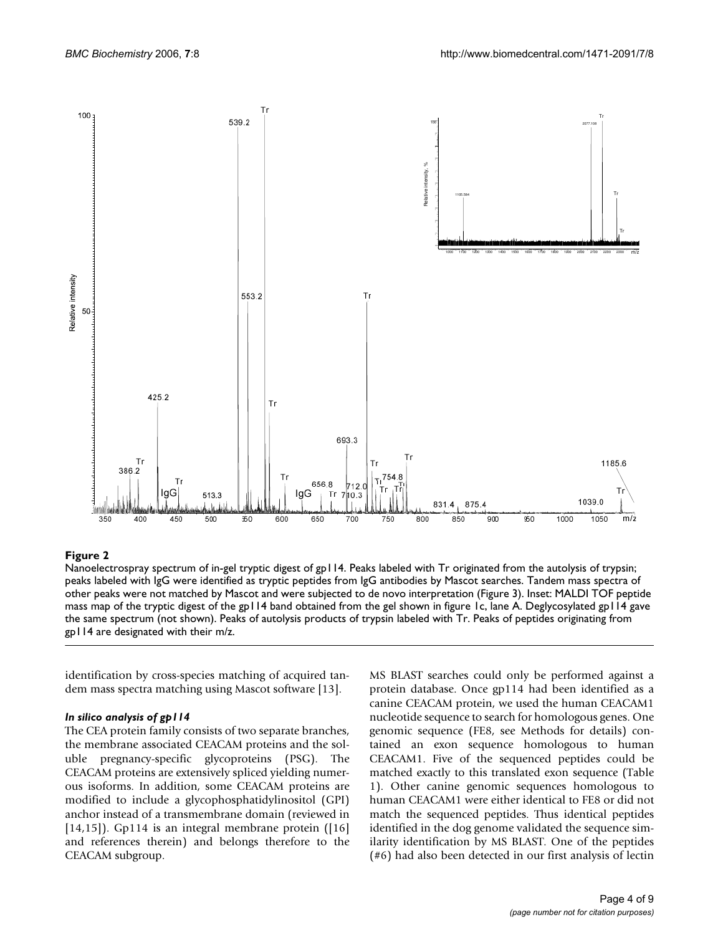

## Figure 2

Nanoelectrospray spectrum of in-gel tryptic digest of gp114. Peaks labeled with Tr originated from the autolysis of trypsin; peaks labeled with IgG were identified as tryptic peptides from IgG antibodies by Mascot searches. Tandem mass spectra of other peaks were not matched by Mascot and were subjected to de novo interpretation (Figure 3). Inset: MALDI TOF peptide mass map of the tryptic digest of the gp114 band obtained from the gel shown in figure 1c, lane A. Deglycosylated gp114 gave the same spectrum (not shown). Peaks of autolysis products of trypsin labeled with Tr. Peaks of peptides originating from gp114 are designated with their m/z.

identification by cross-species matching of acquired tandem mass spectra matching using Mascot software [13].

## *In silico analysis of gp114*

The CEA protein family consists of two separate branches, the membrane associated CEACAM proteins and the soluble pregnancy-specific glycoproteins (PSG). The CEACAM proteins are extensively spliced yielding numerous isoforms. In addition, some CEACAM proteins are modified to include a glycophosphatidylinositol (GPI) anchor instead of a transmembrane domain (reviewed in  $[14,15]$ ). Gp114 is an integral membrane protein  $[16]$ and references therein) and belongs therefore to the CEACAM subgroup.

MS BLAST searches could only be performed against a protein database. Once gp114 had been identified as a canine CEACAM protein, we used the human CEACAM1 nucleotide sequence to search for homologous genes. One genomic sequence (FE8, see Methods for details) contained an exon sequence homologous to human CEACAM1. Five of the sequenced peptides could be matched exactly to this translated exon sequence (Table 1). Other canine genomic sequences homologous to human CEACAM1 were either identical to FE8 or did not match the sequenced peptides. Thus identical peptides identified in the dog genome validated the sequence similarity identification by MS BLAST. One of the peptides (#6) had also been detected in our first analysis of lectin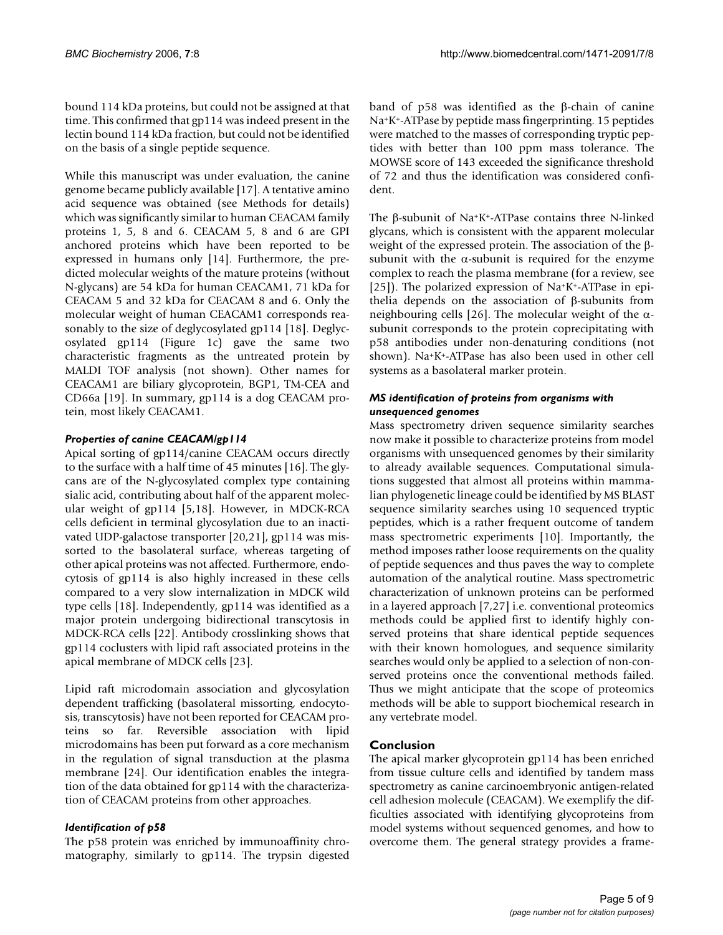bound 114 kDa proteins, but could not be assigned at that time. This confirmed that gp114 was indeed present in the lectin bound 114 kDa fraction, but could not be identified on the basis of a single peptide sequence.

While this manuscript was under evaluation, the canine genome became publicly available [17]. A tentative amino acid sequence was obtained (see Methods for details) which was significantly similar to human CEACAM family proteins 1, 5, 8 and 6. CEACAM 5, 8 and 6 are GPI anchored proteins which have been reported to be expressed in humans only [14]. Furthermore, the predicted molecular weights of the mature proteins (without N-glycans) are 54 kDa for human CEACAM1, 71 kDa for CEACAM 5 and 32 kDa for CEACAM 8 and 6. Only the molecular weight of human CEACAM1 corresponds reasonably to the size of deglycosylated gp114 [18]. Deglycosylated gp114 (Figure 1c) gave the same two characteristic fragments as the untreated protein by MALDI TOF analysis (not shown). Other names for CEACAM1 are biliary glycoprotein, BGP1, TM-CEA and CD66a [19]. In summary, gp114 is a dog CEACAM protein, most likely CEACAM1.

## *Properties of canine CEACAM/gp114*

Apical sorting of gp114/canine CEACAM occurs directly to the surface with a half time of 45 minutes [16]. The glycans are of the N-glycosylated complex type containing sialic acid, contributing about half of the apparent molecular weight of gp114 [5,18]. However, in MDCK-RCA cells deficient in terminal glycosylation due to an inactivated UDP-galactose transporter [20,21], gp114 was missorted to the basolateral surface, whereas targeting of other apical proteins was not affected. Furthermore, endocytosis of gp114 is also highly increased in these cells compared to a very slow internalization in MDCK wild type cells [18]. Independently, gp114 was identified as a major protein undergoing bidirectional transcytosis in MDCK-RCA cells [22]. Antibody crosslinking shows that gp114 coclusters with lipid raft associated proteins in the apical membrane of MDCK cells [23].

Lipid raft microdomain association and glycosylation dependent trafficking (basolateral missorting, endocytosis, transcytosis) have not been reported for CEACAM proteins so far. Reversible association with lipid microdomains has been put forward as a core mechanism in the regulation of signal transduction at the plasma membrane [24]. Our identification enables the integration of the data obtained for gp114 with the characterization of CEACAM proteins from other approaches.

## *Identification of p58*

The p58 protein was enriched by immunoaffinity chromatography, similarly to gp114. The trypsin digested band of p58 was identified as the β-chain of canine Na+K+-ATPase by peptide mass fingerprinting. 15 peptides were matched to the masses of corresponding tryptic peptides with better than 100 ppm mass tolerance. The MOWSE score of 143 exceeded the significance threshold of 72 and thus the identification was considered confident.

The β-subunit of Na+K+-ATPase contains three N-linked glycans, which is consistent with the apparent molecular weight of the expressed protein. The association of the βsubunit with the  $\alpha$ -subunit is required for the enzyme complex to reach the plasma membrane (for a review, see [25]). The polarized expression of Na+K+-ATPase in epithelia depends on the association of β-subunits from neighbouring cells [26]. The molecular weight of the αsubunit corresponds to the protein coprecipitating with p58 antibodies under non-denaturing conditions (not shown). Na+K+-ATPase has also been used in other cell systems as a basolateral marker protein.

## *MS identification of proteins from organisms with unsequenced genomes*

Mass spectrometry driven sequence similarity searches now make it possible to characterize proteins from model organisms with unsequenced genomes by their similarity to already available sequences. Computational simulations suggested that almost all proteins within mammalian phylogenetic lineage could be identified by MS BLAST sequence similarity searches using 10 sequenced tryptic peptides, which is a rather frequent outcome of tandem mass spectrometric experiments [10]. Importantly, the method imposes rather loose requirements on the quality of peptide sequences and thus paves the way to complete automation of the analytical routine. Mass spectrometric characterization of unknown proteins can be performed in a layered approach [7,27] i.e. conventional proteomics methods could be applied first to identify highly conserved proteins that share identical peptide sequences with their known homologues, and sequence similarity searches would only be applied to a selection of non-conserved proteins once the conventional methods failed. Thus we might anticipate that the scope of proteomics methods will be able to support biochemical research in any vertebrate model.

## **Conclusion**

The apical marker glycoprotein gp114 has been enriched from tissue culture cells and identified by tandem mass spectrometry as canine carcinoembryonic antigen-related cell adhesion molecule (CEACAM). We exemplify the difficulties associated with identifying glycoproteins from model systems without sequenced genomes, and how to overcome them. The general strategy provides a frame-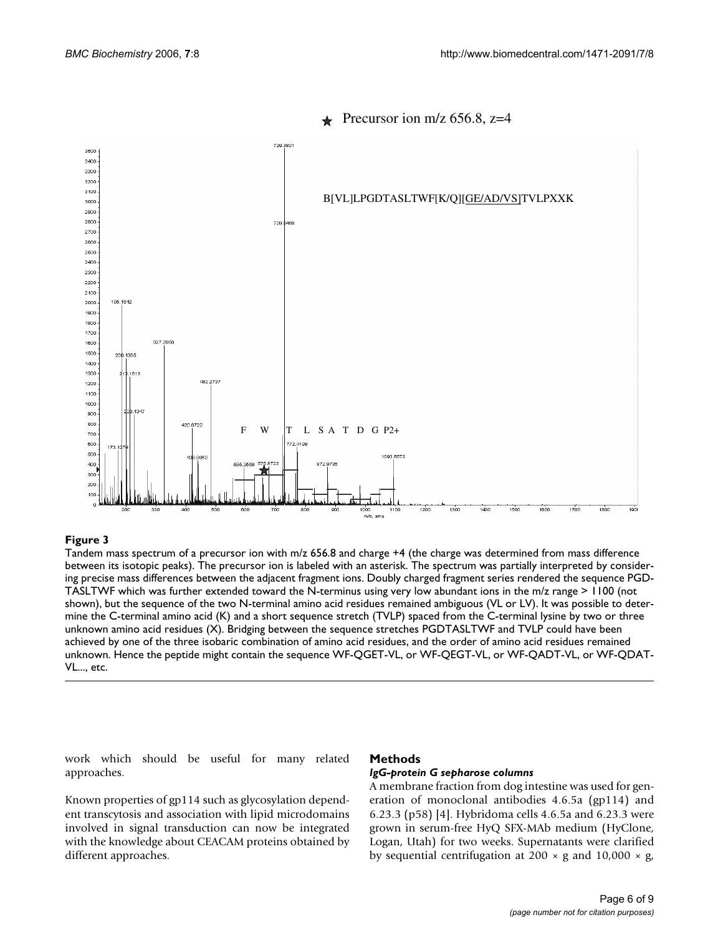

## Precursor ion m/z 656.8, z=4

#### Tandem mass spectrum of a precursor ion with m/z 656.8 and ch between its isotopic peaks) **Figure 3** arge +4 (the charge was determined from mass difference

Tandem mass spectrum of a precursor ion with m/z 656.8 and charge +4 (the charge was determined from mass difference between its isotopic peaks). The precursor ion is labeled with an asterisk. The spectrum was partially interpreted by considering precise mass differences between the adjacent fragment ions. Doubly charged fragment series rendered the sequence PGD-TASLTWF which was further extended toward the N-terminus using very low abundant ions in the m/z range > 1100 (not shown), but the sequence of the two N-terminal amino acid residues remained ambiguous (VL or LV). It was possible to determine the C-terminal amino acid (K) and a short sequence stretch (TVLP) spaced from the C-terminal lysine by two or three unknown amino acid residues (X). Bridging between the sequence stretches PGDTASLTWF and TVLP could have been achieved by one of the three isobaric combination of amino acid residues, and the order of amino acid residues remained unknown. Hence the peptide might contain the sequence WF-QGET-VL, or WF-QEGT-VL, or WF-QADT-VL, or WF-QDAT-VL..., etc.

work which should be useful for many related approaches.

#### **Methods**

#### *IgG-protein G sepharose columns*

Known properties of gp114 such as glycosylation dependent transcytosis and association with lipid microdomains involved in signal transduction can now be integrated with the knowledge about CEACAM proteins obtained by different approaches.

A membrane fraction from dog intestine was used for generation of monoclonal antibodies 4.6.5a (gp114) and 6.23.3 (p58) [4]. Hybridoma cells 4.6.5a and 6.23.3 were grown in serum-free HyQ SFX-MAb medium (HyClone, Logan, Utah) for two weeks. Supernatants were clarified by sequential centrifugation at 200  $\times$  g and 10,000  $\times$  g,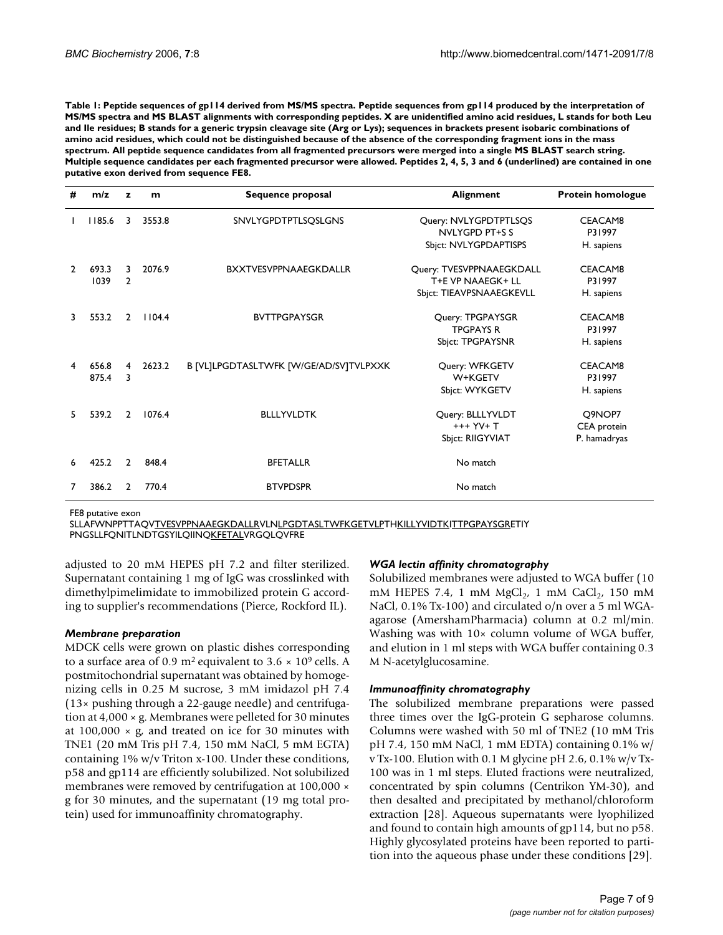**Table 1: Peptide sequences of gp114 derived from MS/MS spectra. Peptide sequences from gp114 produced by the interpretation of MS/MS spectra and MS BLAST alignments with corresponding peptides. X are unidentified amino acid residues, L stands for both Leu and Ile residues; B stands for a generic trypsin cleavage site (Arg or Lys); sequences in brackets present isobaric combinations of amino acid residues, which could not be distinguished because of the absence of the corresponding fragment ions in the mass spectrum. All peptide sequence candidates from all fragmented precursors were merged into a single MS BLAST search string. Multiple sequence candidates per each fragmented precursor were allowed. Peptides 2, 4, 5, 3 and 6 (underlined) are contained in one putative exon derived from sequence FE8.**

| #             | m/z    | z              | m      | Sequence proposal                      | Alignment                | <b>Protein homologue</b> |
|---------------|--------|----------------|--------|----------------------------------------|--------------------------|--------------------------|
|               | 1185.6 | 3              | 3553.8 | SNVLYGPDTPTLSQSLGNS                    | Query: NVLYGPDTPTLSQS    | CEACAM8                  |
|               |        |                |        |                                        | NVLYGPD PT+S S           | P31997                   |
|               |        |                |        |                                        | Sbjct: NVLYGPDAPTISPS    | H. sapiens               |
| $\mathcal{P}$ | 693.3  | 3              | 2076.9 | <b>BXXTVESVPPNAAEGKDALLR</b>           | Query: TVESVPPNAAEGKDALL | CEACAM8                  |
|               | 1039   | $\mathbf{2}$   |        |                                        | T+E VP NAAEGK+ LL        | P31997                   |
|               |        |                |        |                                        | Sbjct: TIEAVPSNAAEGKEVLL | H. sapiens               |
| 3.            | 553.2  | $\mathbf{2}$   | 1104.4 | <b>BVTTPGPAYSGR</b>                    | Query: TPGPAYSGR         | CEACAM8                  |
|               |        |                |        |                                        | <b>TPGPAYS R</b>         | P31997                   |
|               |        |                |        |                                        | <b>Sbjct: TPGPAYSNR</b>  | H. sapiens               |
| 4             | 656.8  | 4              | 2623.2 | B [VL]LPGDTASLTWFK [W/GE/AD/SV]TVLPXXK | Query: WFKGETV           | CEACAM8                  |
|               | 875.4  | 3              |        |                                        | W+KGETV                  | P31997                   |
|               |        |                |        |                                        | Sbjct: WYKGETV           | H. sapiens               |
| 5.            | 539.2  | $\overline{2}$ | 1076.4 | <b>BLLLYVLDTK</b>                      | Query: BLLLYVLDT         | Q9NOP7                   |
|               |        |                |        |                                        | +++ YV+ T                | CEA protein              |
|               |        |                |        |                                        | Sbjct: RIIGYVIAT         | P. hamadryas             |
| 6             | 425.2  | $\overline{2}$ | 848.4  | <b>BFETALLR</b>                        | No match                 |                          |
|               | 386.2  | $\mathcal{P}$  | 770.4  | <b>BTVPDSPR</b>                        | No match                 |                          |

FE8 putative exon

SLLAFWNPPTTAQVTVESVPPNAAEGKDALLRVLNLPGDTASLTWFKGETVLPTHKILLYVIDTKITTPGPAYSGRETIY PNGSLLFQNITLNDTGSYILQIINQKFETALVRGQLQVFRE

adjusted to 20 mM HEPES pH 7.2 and filter sterilized. Supernatant containing 1 mg of IgG was crosslinked with dimethylpimelimidate to immobilized protein G according to supplier's recommendations (Pierce, Rockford IL).

#### *Membrane preparation*

MDCK cells were grown on plastic dishes corresponding to a surface area of 0.9 m<sup>2</sup> equivalent to 3.6  $\times$  10<sup>9</sup> cells. A postmitochondrial supernatant was obtained by homogenizing cells in 0.25 M sucrose, 3 mM imidazol pH 7.4 (13× pushing through a 22-gauge needle) and centrifugation at 4,000 × g. Membranes were pelleted for 30 minutes at  $100,000 \times g$ , and treated on ice for 30 minutes with TNE1 (20 mM Tris pH 7.4, 150 mM NaCl, 5 mM EGTA) containing  $1\%$  w/v Triton x-100. Under these conditions, p58 and gp114 are efficiently solubilized. Not solubilized membranes were removed by centrifugation at 100,000  $\times$ g for 30 minutes, and the supernatant (19 mg total protein) used for immunoaffinity chromatography.

#### *WGA lectin affinity chromatography*

Solubilized membranes were adjusted to WGA buffer (10 mM HEPES 7.4, 1 mM  $MgCl<sub>2</sub>$ , 1 mM  $CaCl<sub>2</sub>$ , 150 mM NaCl, 0.1% Tx-100) and circulated o/n over a 5 ml WGAagarose (AmershamPharmacia) column at 0.2 ml/min. Washing was with 10× column volume of WGA buffer, and elution in 1 ml steps with WGA buffer containing 0.3 M N-acetylglucosamine.

## *Immunoaffinity chromatography*

The solubilized membrane preparations were passed three times over the IgG-protein G sepharose columns. Columns were washed with 50 ml of TNE2 (10 mM Tris pH 7.4, 150 mM NaCl, 1 mM EDTA) containing 0.1% w/ v Tx-100. Elution with 0.1 M glycine pH 2.6, 0.1% w/v Tx-100 was in 1 ml steps. Eluted fractions were neutralized, concentrated by spin columns (Centrikon YM-30), and then desalted and precipitated by methanol/chloroform extraction [28]. Aqueous supernatants were lyophilized and found to contain high amounts of gp114, but no p58. Highly glycosylated proteins have been reported to partition into the aqueous phase under these conditions [29].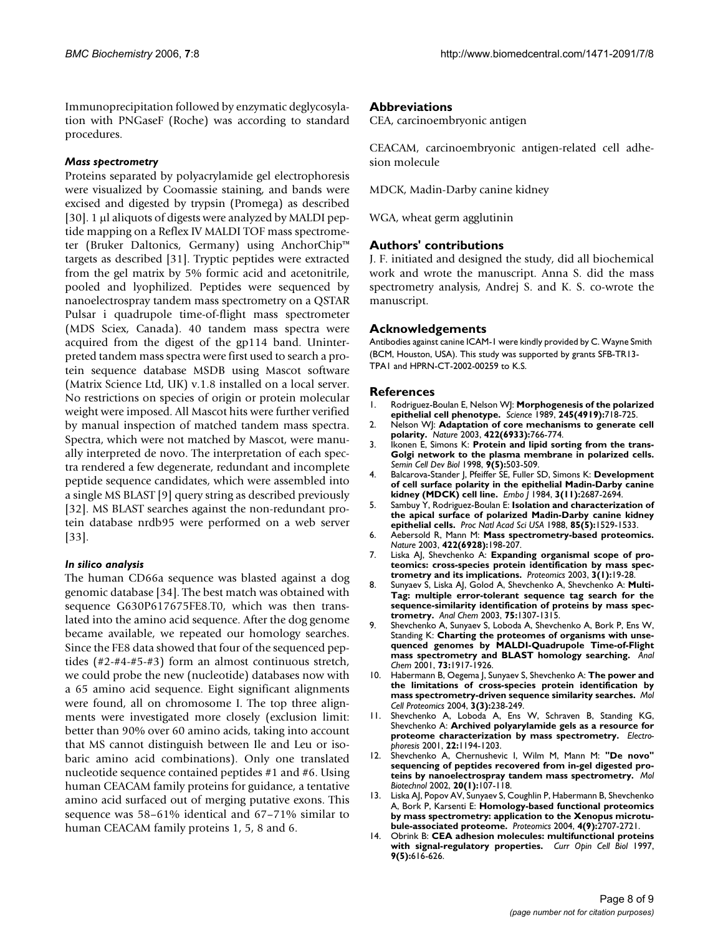Immunoprecipitation followed by enzymatic deglycosylation with PNGaseF (Roche) was according to standard procedures.

#### *Mass spectrometry*

Proteins separated by polyacrylamide gel electrophoresis were visualized by Coomassie staining, and bands were excised and digested by trypsin (Promega) as described [30]. 1 µl aliquots of digests were analyzed by MALDI peptide mapping on a Reflex IV MALDI TOF mass spectrometer (Bruker Daltonics, Germany) using AnchorChip™ targets as described [31]. Tryptic peptides were extracted from the gel matrix by 5% formic acid and acetonitrile, pooled and lyophilized. Peptides were sequenced by nanoelectrospray tandem mass spectrometry on a QSTAR Pulsar i quadrupole time-of-flight mass spectrometer (MDS Sciex, Canada). 40 tandem mass spectra were acquired from the digest of the gp114 band. Uninterpreted tandem mass spectra were first used to search a protein sequence database MSDB using Mascot software (Matrix Science Ltd, UK) v.1.8 installed on a local server. No restrictions on species of origin or protein molecular weight were imposed. All Mascot hits were further verified by manual inspection of matched tandem mass spectra. Spectra, which were not matched by Mascot, were manually interpreted de novo. The interpretation of each spectra rendered a few degenerate, redundant and incomplete peptide sequence candidates, which were assembled into a single MS BLAST [9] query string as described previously [32]. MS BLAST searches against the non-redundant protein database nrdb95 were performed on a web server [33].

#### *In silico analysis*

The human CD66a sequence was blasted against a dog genomic database [34]. The best match was obtained with sequence G630P617675FE8.T0, which was then translated into the amino acid sequence. After the dog genome became available, we repeated our homology searches. Since the FE8 data showed that four of the sequenced peptides (#2-#4-#5-#3) form an almost continuous stretch, we could probe the new (nucleotide) databases now with a 65 amino acid sequence. Eight significant alignments were found, all on chromosome I. The top three alignments were investigated more closely (exclusion limit: better than 90% over 60 amino acids, taking into account that MS cannot distinguish between Ile and Leu or isobaric amino acid combinations). Only one translated nucleotide sequence contained peptides #1 and #6. Using human CEACAM family proteins for guidance, a tentative amino acid surfaced out of merging putative exons. This sequence was 58–61% identical and 67–71% similar to human CEACAM family proteins 1, 5, 8 and 6.

## **Abbreviations**

CEA, carcinoembryonic antigen

CEACAM, carcinoembryonic antigen-related cell adhesion molecule

MDCK, Madin-Darby canine kidney

WGA, wheat germ agglutinin

## **Authors' contributions**

J. F. initiated and designed the study, did all biochemical work and wrote the manuscript. Anna S. did the mass spectrometry analysis, Andrej S. and K. S. co-wrote the manuscript.

#### **Acknowledgements**

Antibodies against canine ICAM-1 were kindly provided by C. Wayne Smith (BCM, Houston, USA). This study was supported by grants SFB-TR13- TPA1 and HPRN-CT-2002-00259 to K.S.

#### **References**

- 1. Rodriguez-Boulan E, Nelson WJ: **[Morphogenesis of the polarized](http://www.ncbi.nlm.nih.gov/entrez/query.fcgi?cmd=Retrieve&db=PubMed&dopt=Abstract&list_uids=2672330) [epithelial cell phenotype.](http://www.ncbi.nlm.nih.gov/entrez/query.fcgi?cmd=Retrieve&db=PubMed&dopt=Abstract&list_uids=2672330)** *Science* 1989, **245(4919):**718-725.
- 2. Nelson WJ: **[Adaptation of core mechanisms to generate cell](http://www.ncbi.nlm.nih.gov/entrez/query.fcgi?cmd=Retrieve&db=PubMed&dopt=Abstract&list_uids=12700771) [polarity.](http://www.ncbi.nlm.nih.gov/entrez/query.fcgi?cmd=Retrieve&db=PubMed&dopt=Abstract&list_uids=12700771)** *Nature* 2003, **422(6933):**766-774.
- 3. Ikonen E, Simons K: **[Protein and lipid sorting from the trans-](http://www.ncbi.nlm.nih.gov/entrez/query.fcgi?cmd=Retrieve&db=PubMed&dopt=Abstract&list_uids=9835637)[Golgi network to the plasma membrane in polarized cells.](http://www.ncbi.nlm.nih.gov/entrez/query.fcgi?cmd=Retrieve&db=PubMed&dopt=Abstract&list_uids=9835637)** *Semin Cell Dev Biol* 1998, **9(5):**503-509.
- 4. Balcarova-Stander J, Pfeiffer SE, Fuller SD, Simons K: **[Development](http://www.ncbi.nlm.nih.gov/entrez/query.fcgi?cmd=Retrieve&db=PubMed&dopt=Abstract&list_uids=6391916) [of cell surface polarity in the epithelial Madin-Darby canine](http://www.ncbi.nlm.nih.gov/entrez/query.fcgi?cmd=Retrieve&db=PubMed&dopt=Abstract&list_uids=6391916) [kidney \(MDCK\) cell line.](http://www.ncbi.nlm.nih.gov/entrez/query.fcgi?cmd=Retrieve&db=PubMed&dopt=Abstract&list_uids=6391916)** *Embo J* 1984, **3(11):**2687-2694.
- 5. Sambuy Y, Rodriguez-Boulan E: **[Isolation and characterization of](http://www.ncbi.nlm.nih.gov/entrez/query.fcgi?cmd=Retrieve&db=PubMed&dopt=Abstract&list_uids=3278317) [the apical surface of polarized Madin-Darby canine kidney](http://www.ncbi.nlm.nih.gov/entrez/query.fcgi?cmd=Retrieve&db=PubMed&dopt=Abstract&list_uids=3278317) [epithelial cells.](http://www.ncbi.nlm.nih.gov/entrez/query.fcgi?cmd=Retrieve&db=PubMed&dopt=Abstract&list_uids=3278317)** *Proc Natl Acad Sci USA* 1988, **85(5):**1529-1533.
- 6. Aebersold R, Mann M: **[Mass spectrometry-based proteomics.](http://www.ncbi.nlm.nih.gov/entrez/query.fcgi?cmd=Retrieve&db=PubMed&dopt=Abstract&list_uids=12634793)** *Nature* 2003, **422(6928):**198-207.
- 7. Liska AJ, Shevchenko A: **[Expanding organismal scope of pro](http://www.ncbi.nlm.nih.gov/entrez/query.fcgi?cmd=Retrieve&db=PubMed&dopt=Abstract&list_uids=12548630)[teomics: cross-species protein identification by mass spec](http://www.ncbi.nlm.nih.gov/entrez/query.fcgi?cmd=Retrieve&db=PubMed&dopt=Abstract&list_uids=12548630)[trometry and its implications.](http://www.ncbi.nlm.nih.gov/entrez/query.fcgi?cmd=Retrieve&db=PubMed&dopt=Abstract&list_uids=12548630)** *Proteomics* 2003, **3(1):**19-28.
- 8. Sunyaev S, Liska AJ, Golod A, Shevchenko A, Shevchenko A: **[Multi-](http://www.ncbi.nlm.nih.gov/entrez/query.fcgi?cmd=Retrieve&db=PubMed&dopt=Abstract&list_uids=12659190)Tag: multiple error-tolerant sequence tag search for the [sequence-similarity identification of proteins by mass spec](http://www.ncbi.nlm.nih.gov/entrez/query.fcgi?cmd=Retrieve&db=PubMed&dopt=Abstract&list_uids=12659190)[trometry.](http://www.ncbi.nlm.nih.gov/entrez/query.fcgi?cmd=Retrieve&db=PubMed&dopt=Abstract&list_uids=12659190)** *Anal Chem* 2003, **75:**1307-1315.
- 9. Shevchenko A, Sunyaev S, Loboda A, Shevchenko A, Bork P, Ens W, Standing K: **[Charting the proteomes of organisms with unse](http://www.ncbi.nlm.nih.gov/entrez/query.fcgi?cmd=Retrieve&db=PubMed&dopt=Abstract&list_uids=11354471)[quenced genomes by MALDI-Quadrupole Time-of-Flight](http://www.ncbi.nlm.nih.gov/entrez/query.fcgi?cmd=Retrieve&db=PubMed&dopt=Abstract&list_uids=11354471) [mass spectrometry and BLAST homology searching.](http://www.ncbi.nlm.nih.gov/entrez/query.fcgi?cmd=Retrieve&db=PubMed&dopt=Abstract&list_uids=11354471)** *Anal Chem* 2001, **73:**1917-1926.
- 10. Habermann B, Oegema J, Sunyaev S, Shevchenko A: **[The power and](http://www.ncbi.nlm.nih.gov/entrez/query.fcgi?cmd=Retrieve&db=PubMed&dopt=Abstract&list_uids=14695901) [the limitations of cross-species protein identification by](http://www.ncbi.nlm.nih.gov/entrez/query.fcgi?cmd=Retrieve&db=PubMed&dopt=Abstract&list_uids=14695901) [mass spectrometry-driven sequence similarity searches.](http://www.ncbi.nlm.nih.gov/entrez/query.fcgi?cmd=Retrieve&db=PubMed&dopt=Abstract&list_uids=14695901)** *Mol Cell Proteomics* 2004, **3(3):**238-249.
- Shevchenko A, Loboda A, Ens W, Schraven B, Standing KG, Shevchenko A: **[Archived polyarylamide gels as a resource for](http://www.ncbi.nlm.nih.gov/entrez/query.fcgi?cmd=Retrieve&db=PubMed&dopt=Abstract&list_uids=11358147) [proteome characterization by mass spectrometry.](http://www.ncbi.nlm.nih.gov/entrez/query.fcgi?cmd=Retrieve&db=PubMed&dopt=Abstract&list_uids=11358147)** *Electrophoresis* 2001, **22:**1194-1203.
- 12. Shevchenko A, Chernushevic I, Wilm M, Mann M: **["De novo"](http://www.ncbi.nlm.nih.gov/entrez/query.fcgi?cmd=Retrieve&db=PubMed&dopt=Abstract&list_uids=11876295) [sequencing of peptides recovered from in-gel digested pro](http://www.ncbi.nlm.nih.gov/entrez/query.fcgi?cmd=Retrieve&db=PubMed&dopt=Abstract&list_uids=11876295)[teins by nanoelectrospray tandem mass spectrometry.](http://www.ncbi.nlm.nih.gov/entrez/query.fcgi?cmd=Retrieve&db=PubMed&dopt=Abstract&list_uids=11876295)** *Mol Biotechnol* 2002, **20(1):**107-118.
- 13. Liska AJ, Popov AV, Sunyaev S, Coughlin P, Habermann B, Shevchenko A, Bork P, Karsenti E: **[Homology-based functional proteomics](http://www.ncbi.nlm.nih.gov/entrez/query.fcgi?cmd=Retrieve&db=PubMed&dopt=Abstract&list_uids=15352245) [by mass spectrometry: application to the Xenopus microtu](http://www.ncbi.nlm.nih.gov/entrez/query.fcgi?cmd=Retrieve&db=PubMed&dopt=Abstract&list_uids=15352245)[bule-associated proteome.](http://www.ncbi.nlm.nih.gov/entrez/query.fcgi?cmd=Retrieve&db=PubMed&dopt=Abstract&list_uids=15352245)** *Proteomics* 2004, **4(9):**2707-2721.
- 14. Obrink B: **[CEA adhesion molecules: multifunctional proteins](http://www.ncbi.nlm.nih.gov/entrez/query.fcgi?cmd=Retrieve&db=PubMed&dopt=Abstract&list_uids=9330864) [with signal-regulatory properties.](http://www.ncbi.nlm.nih.gov/entrez/query.fcgi?cmd=Retrieve&db=PubMed&dopt=Abstract&list_uids=9330864)** *Curr Opin Cell Biol* 1997, **9(5):**616-626.